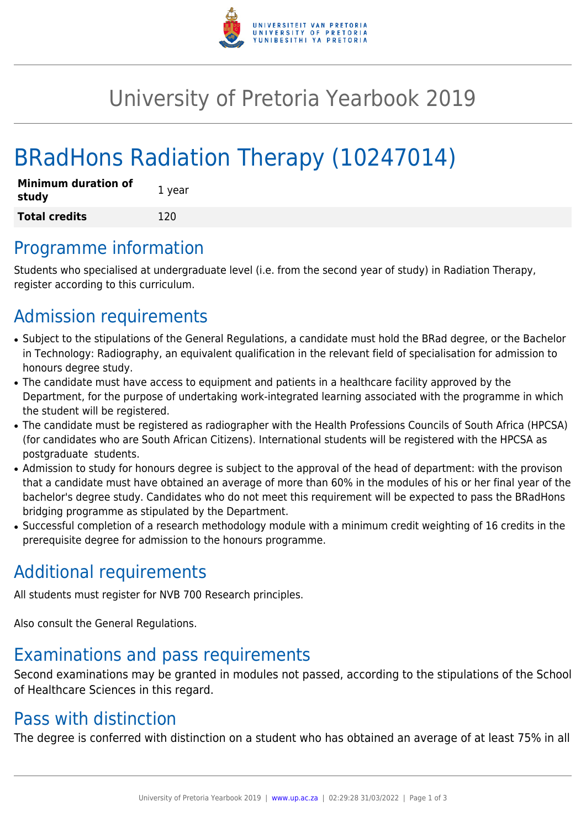

# University of Pretoria Yearbook 2019

# BRadHons Radiation Therapy (10247014)

| <b>Minimum duration of</b><br>study | 1 year |
|-------------------------------------|--------|
| <b>Total credits</b>                | 120    |

### Programme information

Students who specialised at undergraduate level (i.e. from the second year of study) in Radiation Therapy, register according to this curriculum.

## Admission requirements

- Subject to the stipulations of the General Regulations, a candidate must hold the BRad degree, or the Bachelor in Technology: Radiography, an equivalent qualification in the relevant field of specialisation for admission to honours degree study.
- The candidate must have access to equipment and patients in a healthcare facility approved by the Department, for the purpose of undertaking work-integrated learning associated with the programme in which the student will be registered.
- The candidate must be registered as radiographer with the Health Professions Councils of South Africa (HPCSA) (for candidates who are South African Citizens). International students will be registered with the HPCSA as postgraduate students.
- Admission to study for honours degree is subject to the approval of the head of department: with the provison that a candidate must have obtained an average of more than 60% in the modules of his or her final year of the bachelor's degree study. Candidates who do not meet this requirement will be expected to pass the BRadHons bridging programme as stipulated by the Department.
- Successful completion of a research methodology module with a minimum credit weighting of 16 credits in the prerequisite degree for admission to the honours programme.

## Additional requirements

All students must register for NVB 700 Research principles.

Also consult the General Regulations.

# Examinations and pass requirements

Second examinations may be granted in modules not passed, according to the stipulations of the School of Healthcare Sciences in this regard.

# Pass with distinction

The degree is conferred with distinction on a student who has obtained an average of at least 75% in all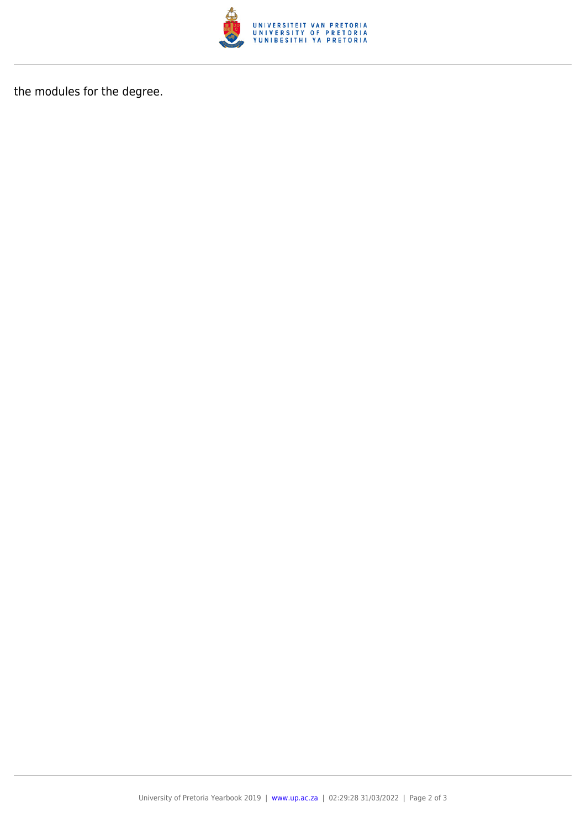

the modules for the degree.